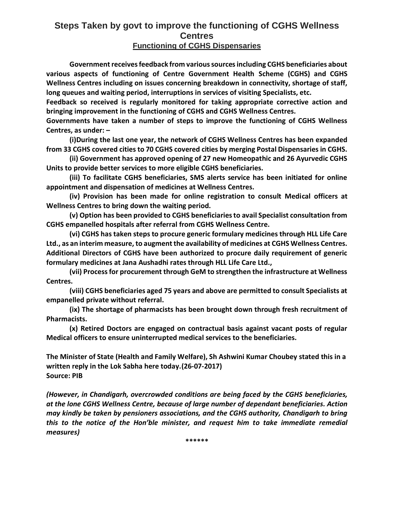## **Steps Taken by govt to improve the functioning of CGHS Wellness Centres**

## **Functioning of CGHS Dispensaries**

**Government receives feedback from various sources including CGHS beneficiaries about various aspects of functioning of Centre Government Health Scheme (CGHS) and CGHS Wellness Centres including on issues concerning breakdown in connectivity, shortage of staff, long queues and waiting period, interruptions in services of visiting Specialists, etc.**

**Feedback so received is regularly monitored for taking appropriate corrective action and bringing improvement in the functioning of CGHS and CGHS Wellness Centres.**

**Governments have taken a number of steps to improve the functioning of CGHS Wellness Centres, as under: –**

**(i)During the last one year, the network of CGHS Wellness Centres has been expanded from 33 CGHS covered cities to 70 CGHS covered cities by merging Postal Dispensaries in CGHS.**

**(ii) Government has approved opening of 27 new Homeopathic and 26 Ayurvedic CGHS Units to provide better services to more eligible CGHS beneficiaries.**

**(iii) To facilitate CGHS beneficiaries, SMS alerts service has been initiated for online appointment and dispensation of medicines at Wellness Centres.**

**(iv) Provision has been made for online registration to consult Medical officers at Wellness Centres to bring down the waiting period.**

**(v) Option has been provided to CGHS beneficiaries to avail Specialist consultation from CGHS empanelled hospitals after referral from CGHS Wellness Centre.**

**(vi) CGHS has taken steps to procure generic formulary medicines through HLL Life Care Ltd., as an interim measure, to augment the availability of medicines at CGHS Wellness Centres. Additional Directors of CGHS have been authorized to procure daily requirement of generic formulary medicines at Jana Aushadhi rates through HLL Life Care Ltd.,**

**(vii) Process for procurement through GeM to strengthen the infrastructure at Wellness Centres.**

**(viii) CGHS beneficiaries aged 75 years and above are permitted to consult Specialists at empanelled private without referral.**

**(ix) The shortage of pharmacists has been brought down through fresh recruitment of Pharmacists.**

**(x) Retired Doctors are engaged on contractual basis against vacant posts of regular Medical officers to ensure uninterrupted medical services to the beneficiaries.**

**The Minister of State (Health and Family Welfare), Sh Ashwini Kumar Choubey stated this in a written reply in the Lok Sabha here today.(26-07-2017) Source: PIB**

*(However, in Chandigarh, overcrowded conditions are being faced by the CGHS beneficiaries, at the lone CGHS Wellness Centre, because of large number of dependant beneficiaries. Action may kindly be taken by pensioners associations, and the CGHS authority, Chandigarh to bring this to the notice of the Hon'ble minister, and request him to take immediate remedial measures)*

**\*\*\*\*\*\***